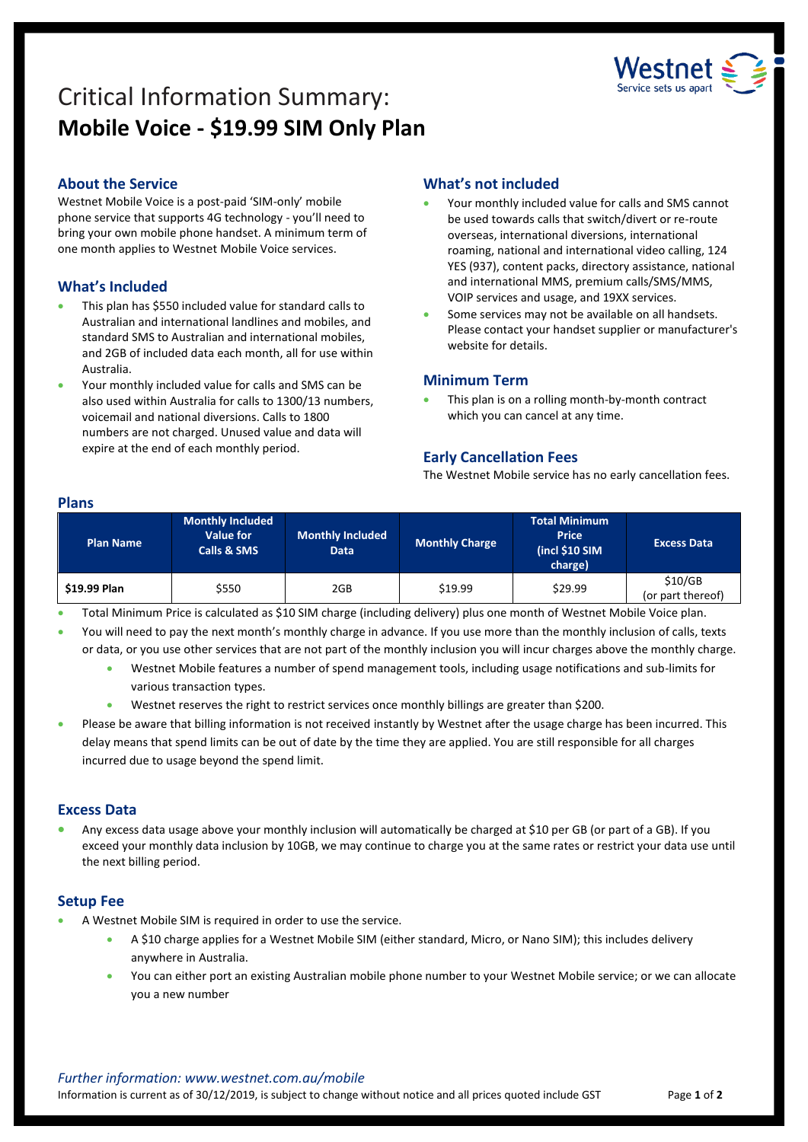

# Critical Information Summary: **Mobile Voice - \$19.99 SIM Only Plan**

## **About the Service**

Westnet Mobile Voice is a post-paid 'SIM-only' mobile phone service that supports 4G technology - you'll need to bring your own mobile phone handset. A minimum term of one month applies to Westnet Mobile Voice services.

# **What's Included**

- This plan has \$550 included value for standard calls to Australian and international landlines and mobiles, and standard SMS to Australian and international mobiles, and 2GB of included data each month, all for use within Australia.
- Your monthly included value for calls and SMS can be also used within Australia for calls to 1300/13 numbers, voicemail and national diversions. Calls to 1800 numbers are not charged. Unused value and data will expire at the end of each monthly period.

# **What's not included**

- Your monthly included value for calls and SMS cannot be used towards calls that switch/divert or re-route overseas, international diversions, international roaming, national and international video calling, 124 YES (937), content packs, directory assistance, national and international MMS, premium calls/SMS/MMS, VOIP services and usage, and 19XX services.
- Some services may not be available on all handsets. Please contact your handset supplier or manufacturer's website for details.

#### **Minimum Term**

 This plan is on a rolling month-by-month contract which you can cancel at any time.

#### **Early Cancellation Fees**

The Westnet Mobile service has no early cancellation fees.

#### **Plans**

| <b>Plan Name</b> | <b>Monthly Included</b><br>Value for<br><b>Calls &amp; SMS</b> | <b>Monthly Included</b><br>Data | <b>Monthly Charge</b> | <b>Total Minimum</b><br><b>Price</b><br>(incl \$10 SIM<br>charge) | <b>Excess Data</b>           |
|------------------|----------------------------------------------------------------|---------------------------------|-----------------------|-------------------------------------------------------------------|------------------------------|
| \$19.99 Plan     | \$550                                                          | 2GB                             | \$19.99               | \$29.99                                                           | \$10/GB<br>(or part thereof) |

- Total Minimum Price is calculated as \$10 SIM charge (including delivery) plus one month of Westnet Mobile Voice plan.
- You will need to pay the next month's monthly charge in advance. If you use more than the monthly inclusion of calls, texts or data, or you use other services that are not part of the monthly inclusion you will incur charges above the monthly charge.
	- Westnet Mobile features a number of spend management tools, including usage notifications and sub-limits for various transaction types.
	- Westnet reserves the right to restrict services once monthly billings are greater than \$200.
- Please be aware that billing information is not received instantly by Westnet after the usage charge has been incurred. This delay means that spend limits can be out of date by the time they are applied. You are still responsible for all charges incurred due to usage beyond the spend limit.

#### **Excess Data**

 Any excess data usage above your monthly inclusion will automatically be charged at \$10 per GB (or part of a GB). If you exceed your monthly data inclusion by 10GB, we may continue to charge you at the same rates or restrict your data use until the next billing period.

#### **Setup Fee**

- A Westnet Mobile SIM is required in order to use the service.
	- A \$10 charge applies for a Westnet Mobile SIM (either standard, Micro, or Nano SIM); this includes delivery anywhere in Australia.
	- You can either port an existing Australian mobile phone number to your Westnet Mobile service; or we can allocate you a new number